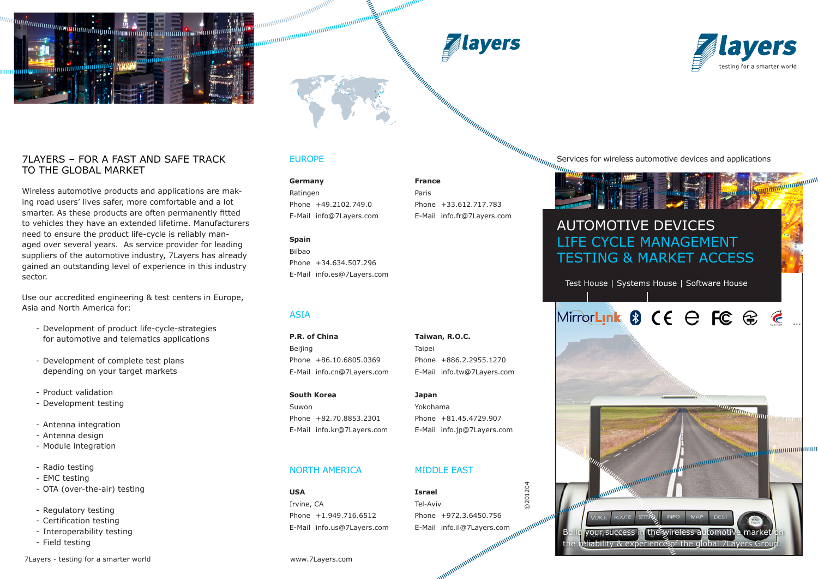





...

**mmmmmm** 

### 7Layers – for a fast and SaFe track to the global market

Wireless automotive products and applications are making road users' lives safer, more comfortable and a lot smarter. As these products are often permanently fitted to vehicles they have an extended lifetime. Manufacturers need to ensure the product life-cycle is reliably managed over several years. As service provider for leading suppliers of the automotive industry, 7Layers has already gained an outstanding level of experience in this industry sector.

Use our accredited engineering & test centers in Europe, Asia and North America for:

- Development of product life-cycle-strategies for automotive and telematics applications
- Development of complete test plans depending on your target markets
- Product validation
- Development testing
- Antenna integration
- Antenna design
- Module integration
- Radio testing
- EMC testing
- OTA (over-the-air) testing
- Regulatory testing
- Certification testing
- Interoperability testing
- Field testing

#### 7Layers - testing for a smarter world www.7Layers.com

### EUROPE

maanaanaanaanaanaanaanaanaanaa<br>maanaanaanaanaanaanaanaanaanaa

**Germany France** Ratingen Paris

Phone +49.2102.749.0 Phone +33.612.717.783

### **Spain**

Bilbao Phone +34.634.507.296 E-Mail info.es@7Layers.com

### ASIA

**P.R. of China Taiwan, R.O.C.** Beijing **Taipei** Phone +86.10.6805.0369 Phone +886.2.2955.1270 E-Mail info.cn@7Layers.com E-Mail info.tw@7Layers.com

### **South Korea Japan** Suwon Yokohama Phone +82.70.8853.2301 Phone +81.45.4729.907

### NORTH AMERICA MIDDLE EAST

**USA Israel** Irvine, CA Tel-Aviv Phone +1.949.716.6512 Phone +972.3.6450.756

E-Mail info@7Layers.com E-Mail info.fr@7Layers.com

#### Services for wireless automotive devices and applications

### AUTOMOTIVE DEVICES LIFE CYCLE MANAGEMENT

Test House | Systems House | Software House

TESTING & MARKET ACCESS

### MirrorLink 8 CE e FC @ @

your success in the wireless automotive market eliability & experience of the global 7Layers Group.

**INIEO** 

**ROUT** 

# E-Mail info.kr@7Layers.com E-Mail info.jp@7Layers.com **Dammmmmmmmmmmmm Canonumumum**

0201204 ©201204 E-Mail info.us@7Layers.com E-Mail info.il@7Layers.com